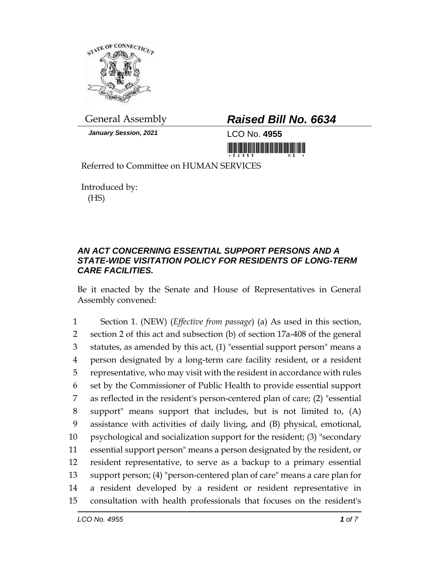

## General Assembly *Raised Bill No. 6634*

*January Session, 2021* LCO No. **4955**

Referred to Committee on HUMAN SERVICES

Introduced by: (HS)

## *AN ACT CONCERNING ESSENTIAL SUPPORT PERSONS AND A STATE-WIDE VISITATION POLICY FOR RESIDENTS OF LONG-TERM CARE FACILITIES.*

Be it enacted by the Senate and House of Representatives in General Assembly convened:

 Section 1. (NEW) (*Effective from passage*) (a) As used in this section, section 2 of this act and subsection (b) of section 17a-408 of the general statutes, as amended by this act, (1) "essential support person" means a person designated by a long-term care facility resident, or a resident representative, who may visit with the resident in accordance with rules set by the Commissioner of Public Health to provide essential support as reflected in the resident's person-centered plan of care; (2) "essential support" means support that includes, but is not limited to, (A) assistance with activities of daily living, and (B) physical, emotional, psychological and socialization support for the resident; (3) "secondary essential support person" means a person designated by the resident, or resident representative, to serve as a backup to a primary essential support person; (4) "person-centered plan of care" means a care plan for a resident developed by a resident or resident representative in consultation with health professionals that focuses on the resident's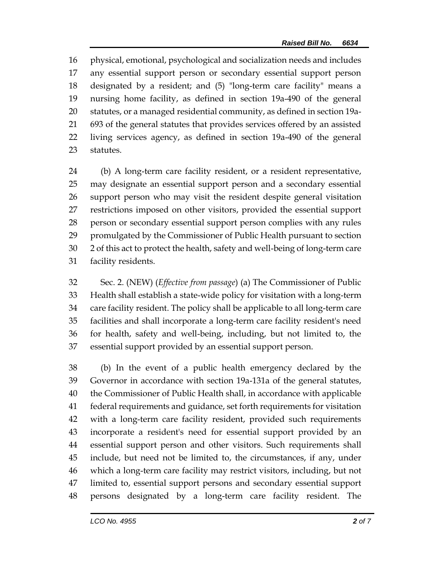physical, emotional, psychological and socialization needs and includes any essential support person or secondary essential support person designated by a resident; and (5) "long-term care facility" means a nursing home facility, as defined in section 19a-490 of the general statutes, or a managed residential community, as defined in section 19a- 693 of the general statutes that provides services offered by an assisted living services agency, as defined in section 19a-490 of the general statutes.

 (b) A long-term care facility resident, or a resident representative, may designate an essential support person and a secondary essential support person who may visit the resident despite general visitation restrictions imposed on other visitors, provided the essential support person or secondary essential support person complies with any rules promulgated by the Commissioner of Public Health pursuant to section 2 of this act to protect the health, safety and well-being of long-term care facility residents.

 Sec. 2. (NEW) (*Effective from passage*) (a) The Commissioner of Public Health shall establish a state-wide policy for visitation with a long-term care facility resident. The policy shall be applicable to all long-term care facilities and shall incorporate a long-term care facility resident's need for health, safety and well-being, including, but not limited to, the essential support provided by an essential support person.

 (b) In the event of a public health emergency declared by the Governor in accordance with section 19a-131a of the general statutes, the Commissioner of Public Health shall, in accordance with applicable federal requirements and guidance, set forth requirements for visitation with a long-term care facility resident, provided such requirements incorporate a resident's need for essential support provided by an essential support person and other visitors. Such requirements shall include, but need not be limited to, the circumstances, if any, under which a long-term care facility may restrict visitors, including, but not limited to, essential support persons and secondary essential support persons designated by a long-term care facility resident. The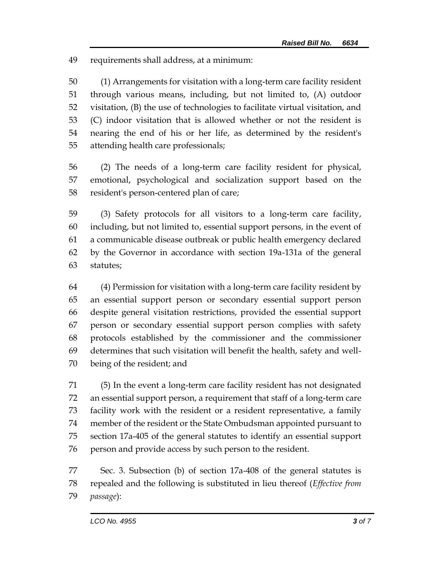requirements shall address, at a minimum:

 (1) Arrangements for visitation with a long-term care facility resident through various means, including, but not limited to, (A) outdoor visitation, (B) the use of technologies to facilitate virtual visitation, and (C) indoor visitation that is allowed whether or not the resident is nearing the end of his or her life, as determined by the resident's attending health care professionals;

 (2) The needs of a long-term care facility resident for physical, emotional, psychological and socialization support based on the resident's person-centered plan of care;

 (3) Safety protocols for all visitors to a long-term care facility, including, but not limited to, essential support persons, in the event of a communicable disease outbreak or public health emergency declared by the Governor in accordance with section 19a-131a of the general statutes;

 (4) Permission for visitation with a long-term care facility resident by an essential support person or secondary essential support person despite general visitation restrictions, provided the essential support person or secondary essential support person complies with safety protocols established by the commissioner and the commissioner determines that such visitation will benefit the health, safety and well-being of the resident; and

 (5) In the event a long-term care facility resident has not designated an essential support person, a requirement that staff of a long-term care facility work with the resident or a resident representative, a family member of the resident or the State Ombudsman appointed pursuant to section 17a-405 of the general statutes to identify an essential support person and provide access by such person to the resident.

 Sec. 3. Subsection (b) of section 17a-408 of the general statutes is repealed and the following is substituted in lieu thereof (*Effective from passage*):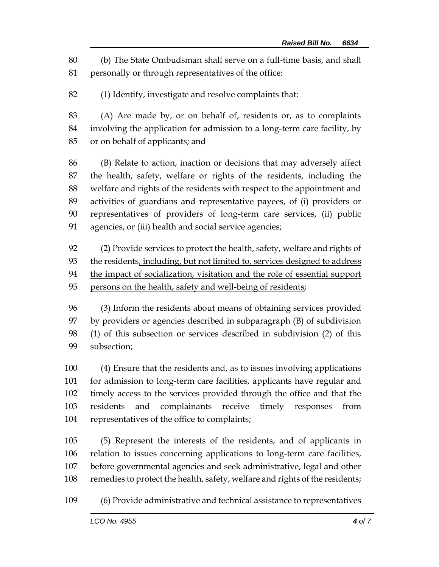(b) The State Ombudsman shall serve on a full-time basis, and shall personally or through representatives of the office:

(1) Identify, investigate and resolve complaints that:

 (A) Are made by, or on behalf of, residents or, as to complaints involving the application for admission to a long-term care facility, by or on behalf of applicants; and

 (B) Relate to action, inaction or decisions that may adversely affect the health, safety, welfare or rights of the residents, including the welfare and rights of the residents with respect to the appointment and activities of guardians and representative payees, of (i) providers or representatives of providers of long-term care services, (ii) public agencies, or (iii) health and social service agencies;

 (2) Provide services to protect the health, safety, welfare and rights of the residents, including, but not limited to, services designed to address 94 the impact of socialization, visitation and the role of essential support 95 persons on the health, safety and well-being of residents;

 (3) Inform the residents about means of obtaining services provided by providers or agencies described in subparagraph (B) of subdivision (1) of this subsection or services described in subdivision (2) of this subsection;

 (4) Ensure that the residents and, as to issues involving applications for admission to long-term care facilities, applicants have regular and timely access to the services provided through the office and that the residents and complainants receive timely responses from representatives of the office to complaints;

 (5) Represent the interests of the residents, and of applicants in relation to issues concerning applications to long-term care facilities, before governmental agencies and seek administrative, legal and other remedies to protect the health, safety, welfare and rights of the residents;

(6) Provide administrative and technical assistance to representatives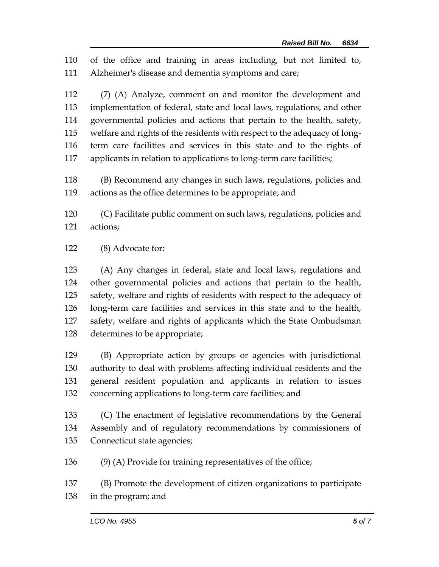of the office and training in areas including, but not limited to, Alzheimer's disease and dementia symptoms and care;

 (7) (A) Analyze, comment on and monitor the development and implementation of federal, state and local laws, regulations, and other governmental policies and actions that pertain to the health, safety, welfare and rights of the residents with respect to the adequacy of long- term care facilities and services in this state and to the rights of applicants in relation to applications to long-term care facilities;

 (B) Recommend any changes in such laws, regulations, policies and actions as the office determines to be appropriate; and

 (C) Facilitate public comment on such laws, regulations, policies and actions;

(8) Advocate for:

 (A) Any changes in federal, state and local laws, regulations and other governmental policies and actions that pertain to the health, safety, welfare and rights of residents with respect to the adequacy of long-term care facilities and services in this state and to the health, safety, welfare and rights of applicants which the State Ombudsman determines to be appropriate;

 (B) Appropriate action by groups or agencies with jurisdictional authority to deal with problems affecting individual residents and the general resident population and applicants in relation to issues concerning applications to long-term care facilities; and

 (C) The enactment of legislative recommendations by the General Assembly and of regulatory recommendations by commissioners of Connecticut state agencies;

(9) (A) Provide for training representatives of the office;

 (B) Promote the development of citizen organizations to participate in the program; and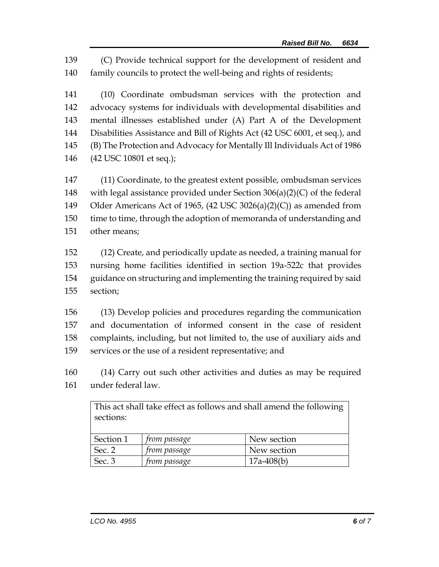(C) Provide technical support for the development of resident and family councils to protect the well-being and rights of residents;

 (10) Coordinate ombudsman services with the protection and advocacy systems for individuals with developmental disabilities and mental illnesses established under (A) Part A of the Development Disabilities Assistance and Bill of Rights Act (42 USC 6001, et seq.), and (B) The Protection and Advocacy for Mentally Ill Individuals Act of 1986 (42 USC 10801 et seq.);

 (11) Coordinate, to the greatest extent possible, ombudsman services with legal assistance provided under Section 306(a)(2)(C) of the federal Older Americans Act of 1965, (42 USC 3026(a)(2)(C)) as amended from time to time, through the adoption of memoranda of understanding and other means;

 (12) Create, and periodically update as needed, a training manual for nursing home facilities identified in section 19a-522c that provides guidance on structuring and implementing the training required by said section;

 (13) Develop policies and procedures regarding the communication and documentation of informed consent in the case of resident complaints, including, but not limited to, the use of auxiliary aids and services or the use of a resident representative; and

 (14) Carry out such other activities and duties as may be required under federal law.

| This act shall take effect as follows and shall amend the following<br>sections: |                     |              |
|----------------------------------------------------------------------------------|---------------------|--------------|
| Section 1                                                                        | from passage        | New section  |
| Sec. 2                                                                           | <i>from passage</i> | New section  |
| Sec. 3                                                                           | <i>from passage</i> | $17a-408(b)$ |